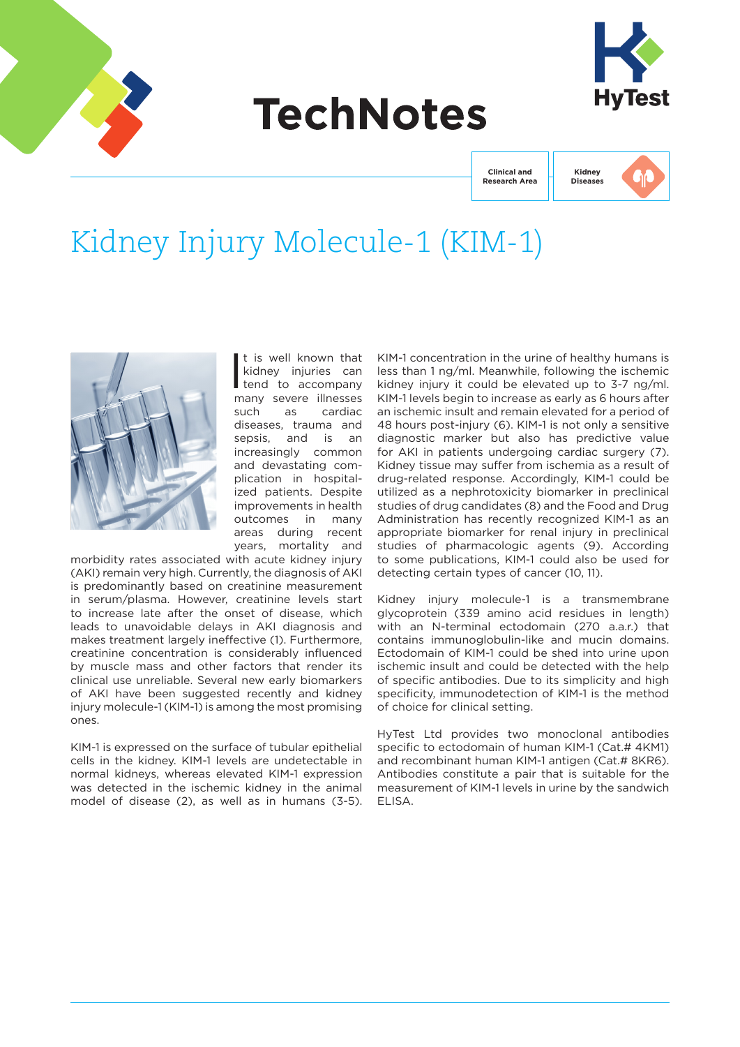

# **TechNotes**



**Clinical and Research Area**

**Kidney Diseases**

# Kidney Injury Molecule-1 (KIM-1)



I t is well known that kidney injuries can tend to accompany many severe illnesses such as cardiac diseases, trauma and sepsis, and is an increasingly common and devastating complication in hospitalized patients. Despite improvements in health outcomes in many areas during recent years, mortality and

morbidity rates associated with acute kidney injury (AKI) remain very high. Currently, the diagnosis of AKI is predominantly based on creatinine measurement in serum/plasma. However, creatinine levels start to increase late after the onset of disease, which leads to unavoidable delays in AKI diagnosis and makes treatment largely ineffective (1). Furthermore, creatinine concentration is considerably influenced by muscle mass and other factors that render its clinical use unreliable. Several new early biomarkers of AKI have been suggested recently and kidney injury molecule-1 (KIM-1) is among the most promising ones.

KIM-1 is expressed on the surface of tubular epithelial cells in the kidney. KIM-1 levels are undetectable in normal kidneys, whereas elevated KIM-1 expression was detected in the ischemic kidney in the animal model of disease (2), as well as in humans (3-5). KIM-1 concentration in the urine of healthy humans is less than 1 ng/ml. Meanwhile, following the ischemic kidney injury it could be elevated up to 3-7 ng/ml. KIM-1 levels begin to increase as early as 6 hours after an ischemic insult and remain elevated for a period of 48 hours post-injury (6). KIM-1 is not only a sensitive diagnostic marker but also has predictive value for AKI in patients undergoing cardiac surgery (7). Kidney tissue may suffer from ischemia as a result of drug-related response. Accordingly, KIM-1 could be utilized as a nephrotoxicity biomarker in preclinical studies of drug candidates (8) and the Food and Drug Administration has recently recognized KIM-1 as an appropriate biomarker for renal injury in preclinical studies of pharmacologic agents (9). According to some publications, KIM-1 could also be used for detecting certain types of cancer (10, 11).

Kidney injury molecule-1 is a transmembrane glycoprotein (339 amino acid residues in length) with an N-terminal ectodomain (270 a.a.r.) that contains immunoglobulin-like and mucin domains. Ectodomain of KIM-1 could be shed into urine upon ischemic insult and could be detected with the help of specific antibodies. Due to its simplicity and high specificity, immunodetection of KIM-1 is the method of choice for clinical setting.

HyTest Ltd provides two monoclonal antibodies specific to ectodomain of human KIM-1 (Cat.# 4KM1) and recombinant human KIM-1 antigen (Cat.# 8KR6). Antibodies constitute a pair that is suitable for the measurement of KIM-1 levels in urine by the sandwich ELISA.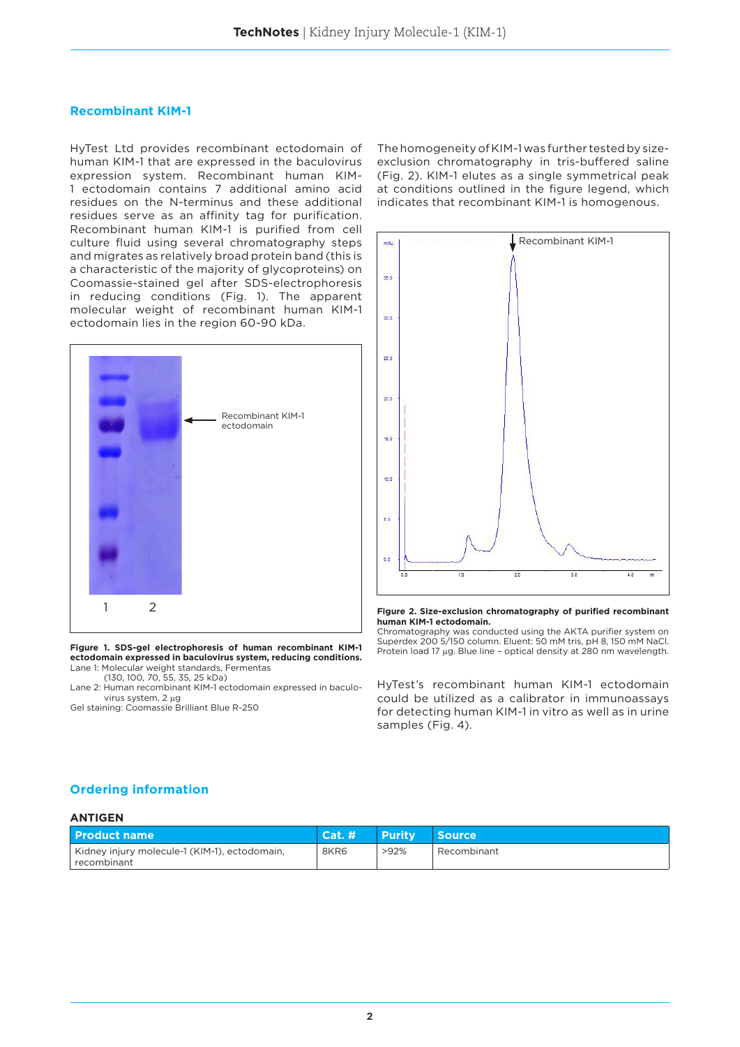### **Recombinant KIM-1**

HyTest Ltd provides recombinant ectodomain of human KIM-1 that are expressed in the baculovirus expression system. Recombinant human KIM-1 ectodomain contains 7 additional amino acid residues on the N-terminus and these additional residues serve as an affinity tag for purification. Recombinant human KIM-1 is purified from cell culture fluid using several chromatography steps and migrates as relatively broad protein band (this is a characteristic of the majority of glycoproteins) on Coomassie-stained gel after SDS-electrophoresis in reducing conditions (Fig. 1). The apparent molecular weight of recombinant human KIM-1 ectodomain lies in the region 60-90 kDa.



**Figure 1. SDS-gel electrophoresis of human recombinant KIM-1 ectodomain expressed in baculovirus system, reducing conditions.** Lane 1: Molecular weight standards, Fermentas

(130, 100, 70, 55, 35, 25 kDa)

Lane 2: Human recombinant KIM-1 ectodomain expressed in baculo virus system, 2 μg

Gel staining: Coomassie Brilliant Blue R-250

The homogeneity of KIM-1 was further tested by sizeexclusion chromatography in tris-buffered saline (Fig. 2). KIM-1 elutes as a single symmetrical peak at conditions outlined in the figure legend, which indicates that recombinant KIM-1 is homogenous.



#### **Figure 2. Size-exclusion chromatography of purified recombinant human KIM-1 ectodomain.**

Chromatography was conducted using the AKTA purifier system on Superdex 200 5/150 column. Eluent: 50 mM tris, pH 8, 150 mM NaCl. Protein load 17 μg. Blue line – optical density at 280 nm wavelength.

HyTest's recombinant human KIM-1 ectodomain could be utilized as a calibrator in immunoassays for detecting human KIM-1 in vitro as well as in urine samples (Fig. 4).

# **Ordering information**

### **ANTIGEN**

| l Product name                                               | Cat.# | <b>Purity</b> | Source      |
|--------------------------------------------------------------|-------|---------------|-------------|
| Kidney injury molecule-1 (KIM-1), ectodomain,<br>recombinant | 8KR6  | $>92\%$       | Recombinant |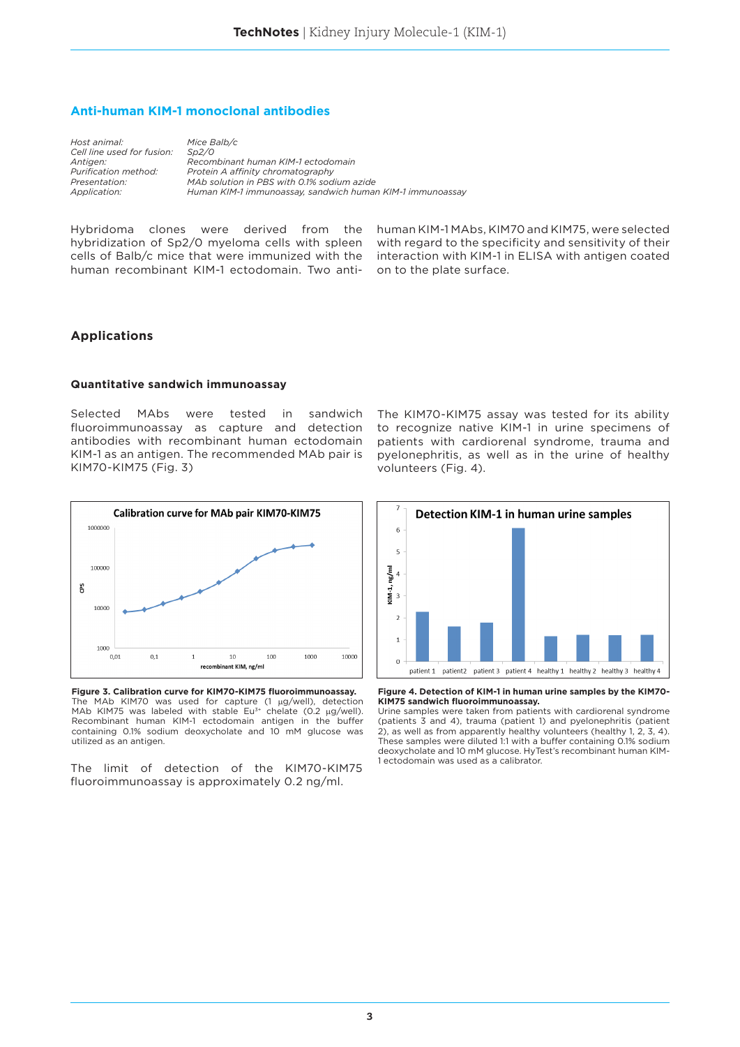# **Anti-human KIM-1 monoclonal antibodies**

*Host animal: Mice Balb/c Cell line used for fusion: Sp2/0*

*Antigen: Recombinant human KIM-1 ectodomain Purification method: Protein A affinity chromatography Presentation: MAb solution in PBS with 0.1% sodium azide Application: Human KIM-1 immunoassay, sandwich human KIM-1 immunoassay*

Hybridoma clones were derived from the hybridization of Sp2/0 myeloma cells with spleen cells of Balb/c mice that were immunized with the human recombinant KIM-1 ectodomain. Two antihuman KIM-1 MAbs, KIM70 and KIM75, were selected with regard to the specificity and sensitivity of their interaction with KIM-1 in ELISA with antigen coated on to the plate surface.

# **Applications**

#### **Quantitative sandwich immunoassay**

Selected MAbs were tested in sandwich fluoroimmunoassay as capture and detection antibodies with recombinant human ectodomain KIM-1 as an antigen. The recommended MAb pair is KIM70-KIM75 (Fig. 3)



**Figure 3. Calibration curve for KIM70-KIM75 fluoroimmunoassay.** The MAb KIM70 was used for capture (1 μg/well), detection MAb KIM75 was labeled with stable Eu<sup>3+</sup> chelate (0.2  $\mu$ g/well). Recombinant human KIM-1 ectodomain antigen in the buffer containing 0.1% sodium deoxycholate and 10 mM glucose was utilized as an antigen.

The limit of detection of the KIM70-KIM75 fluoroimmunoassay is approximately 0.2 ng/ml.

The KIM70-KIM75 assay was tested for its ability to recognize native KIM-1 in urine specimens of patients with cardiorenal syndrome, trauma and pyelonephritis, as well as in the urine of healthy volunteers (Fig. 4).



**Figure 4. Detection of KIM-1 in human urine samples by the KIM70- KIM75 sandwich fluoroimmunoassay.** 

Urine samples were taken from patients with cardiorenal syndrome (patients 3 and 4), trauma (patient 1) and pyelonephritis (patient 2), as well as from apparently healthy volunteers (healthy 1, 2, 3, 4). These samples were diluted 1:1 with a buffer containing 0.1% sodium deoxycholate and 10 mM glucose. HyTest's recombinant human KIM-1 ectodomain was used as a calibrator.